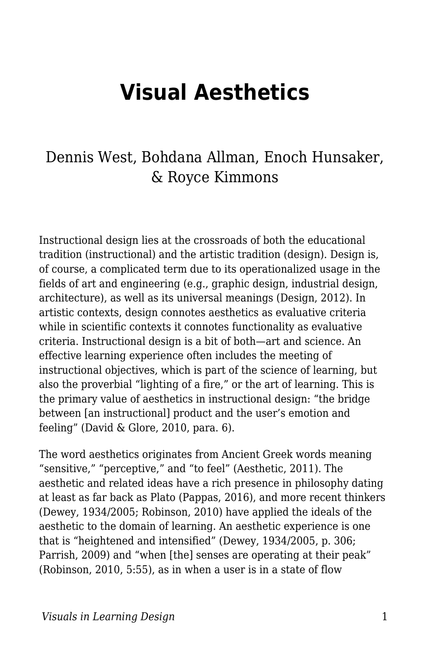# **Visual Aesthetics**

# Dennis West, Bohdana Allman, Enoch Hunsaker, & Royce Kimmons

Instructional design lies at the crossroads of both the educational tradition (instructional) and the artistic tradition (design). Design is, of course, a complicated term due to its operationalized usage in the fields of art and engineering (e.g., graphic design, industrial design, architecture), as well as its universal meanings (Design, 2012). In artistic contexts, design connotes aesthetics as evaluative criteria while in scientific contexts it connotes functionality as evaluative criteria. Instructional design is a bit of both—art and science. An effective learning experience often includes the meeting of instructional objectives, which is part of the science of learning, but also the proverbial "lighting of a fire," or the art of learning. This is the primary value of aesthetics in instructional design: "the bridge between [an instructional] product and the user's emotion and feeling" (David & Glore, 2010, para. 6).

The word aesthetics originates from Ancient Greek words meaning "sensitive," "perceptive," and "to feel" (Aesthetic, 2011). The aesthetic and related ideas have a rich presence in philosophy dating at least as far back as Plato (Pappas, 2016), and more recent thinkers (Dewey, 1934/2005; Robinson, 2010) have applied the ideals of the aesthetic to the domain of learning. An aesthetic experience is one that is "heightened and intensified" (Dewey, 1934/2005, p. 306; Parrish, 2009) and "when [the] senses are operating at their peak" (Robinson, 2010, 5:55), as in when a user is in a state of flow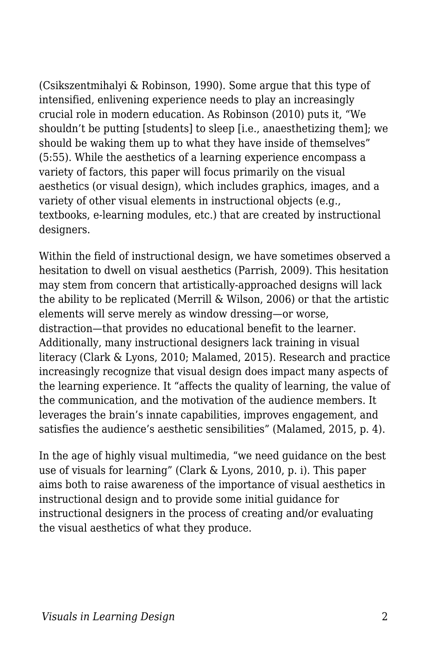(Csikszentmihalyi & Robinson, 1990). Some argue that this type of intensified, enlivening experience needs to play an increasingly crucial role in modern education. As Robinson (2010) puts it, "We shouldn't be putting [students] to sleep [i.e., anaesthetizing them]; we should be waking them up to what they have inside of themselves" (5:55). While the aesthetics of a learning experience encompass a variety of factors, this paper will focus primarily on the visual aesthetics (or visual design), which includes graphics, images, and a variety of other visual elements in instructional objects (e.g., textbooks, e-learning modules, etc.) that are created by instructional designers.

Within the field of instructional design, we have sometimes observed a hesitation to dwell on visual aesthetics (Parrish, 2009). This hesitation may stem from concern that artistically-approached designs will lack the ability to be replicated (Merrill & Wilson, 2006) or that the artistic elements will serve merely as window dressing—or worse, distraction—that provides no educational benefit to the learner. Additionally, many instructional designers lack training in visual literacy (Clark & Lyons, 2010; Malamed, 2015). Research and practice increasingly recognize that visual design does impact many aspects of the learning experience. It "affects the quality of learning, the value of the communication, and the motivation of the audience members. It leverages the brain's innate capabilities, improves engagement, and satisfies the audience's aesthetic sensibilities" (Malamed, 2015, p. 4).

In the age of highly visual multimedia, "we need guidance on the best use of visuals for learning" (Clark & Lyons, 2010, p. i). This paper aims both to raise awareness of the importance of visual aesthetics in instructional design and to provide some initial guidance for instructional designers in the process of creating and/or evaluating the visual aesthetics of what they produce.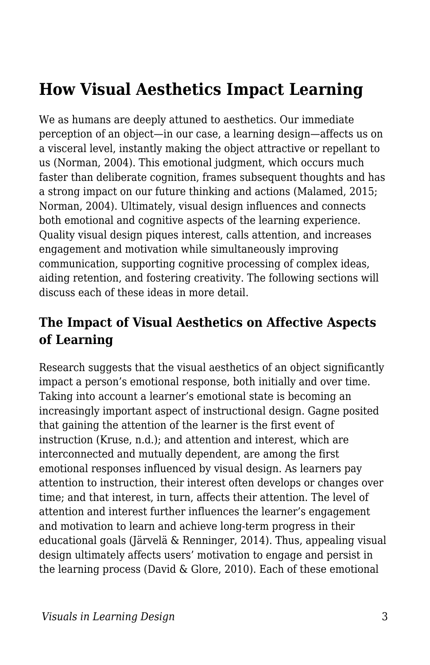# **How Visual Aesthetics Impact Learning**

We as humans are deeply attuned to aesthetics. Our immediate perception of an object—in our case, a learning design—affects us on a visceral level, instantly making the object attractive or repellant to us (Norman, 2004). This emotional judgment, which occurs much faster than deliberate cognition, frames subsequent thoughts and has a strong impact on our future thinking and actions (Malamed, 2015; Norman, 2004). Ultimately, visual design influences and connects both emotional and cognitive aspects of the learning experience. Quality visual design piques interest, calls attention, and increases engagement and motivation while simultaneously improving communication, supporting cognitive processing of complex ideas, aiding retention, and fostering creativity. The following sections will discuss each of these ideas in more detail.

#### **The Impact of Visual Aesthetics on Affective Aspects of Learning**

Research suggests that the visual aesthetics of an object significantly impact a person's emotional response, both initially and over time. Taking into account a learner's emotional state is becoming an increasingly important aspect of instructional design. Gagne posited that gaining the attention of the learner is the first event of instruction (Kruse, n.d.); and attention and interest, which are interconnected and mutually dependent, are among the first emotional responses influenced by visual design. As learners pay attention to instruction, their interest often develops or changes over time; and that interest, in turn, affects their attention. The level of attention and interest further influences the learner's engagement and motivation to learn and achieve long-term progress in their educational goals (Järvelä & Renninger, 2014). Thus, appealing visual design ultimately affects users' motivation to engage and persist in the learning process (David & Glore, 2010). Each of these emotional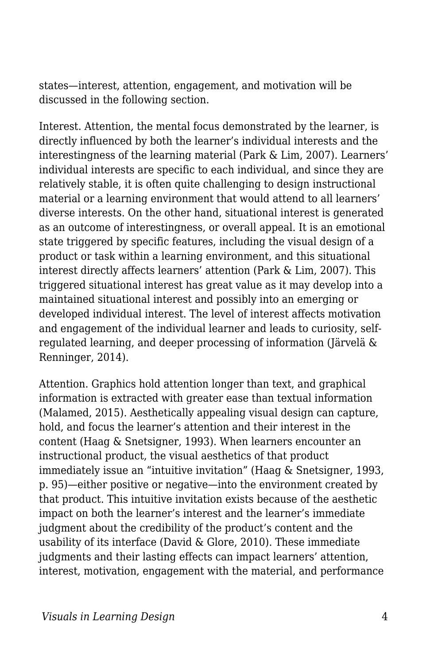states—interest, attention, engagement, and motivation will be discussed in the following section.

Interest. Attention, the mental focus demonstrated by the learner, is directly influenced by both the learner's individual interests and the interestingness of the learning material (Park & Lim, 2007). Learners' individual interests are specific to each individual, and since they are relatively stable, it is often quite challenging to design instructional material or a learning environment that would attend to all learners' diverse interests. On the other hand, situational interest is generated as an outcome of interestingness, or overall appeal. It is an emotional state triggered by specific features, including the visual design of a product or task within a learning environment, and this situational interest directly affects learners' attention (Park & Lim, 2007). This triggered situational interest has great value as it may develop into a maintained situational interest and possibly into an emerging or developed individual interest. The level of interest affects motivation and engagement of the individual learner and leads to curiosity, selfregulated learning, and deeper processing of information (Järvelä & Renninger, 2014).

Attention. Graphics hold attention longer than text, and graphical information is extracted with greater ease than textual information (Malamed, 2015). Aesthetically appealing visual design can capture, hold, and focus the learner's attention and their interest in the content (Haag & Snetsigner, 1993). When learners encounter an instructional product, the visual aesthetics of that product immediately issue an "intuitive invitation" (Haag & Snetsigner, 1993, p. 95)—either positive or negative—into the environment created by that product. This intuitive invitation exists because of the aesthetic impact on both the learner's interest and the learner's immediate judgment about the credibility of the product's content and the usability of its interface (David & Glore, 2010). These immediate judgments and their lasting effects can impact learners' attention, interest, motivation, engagement with the material, and performance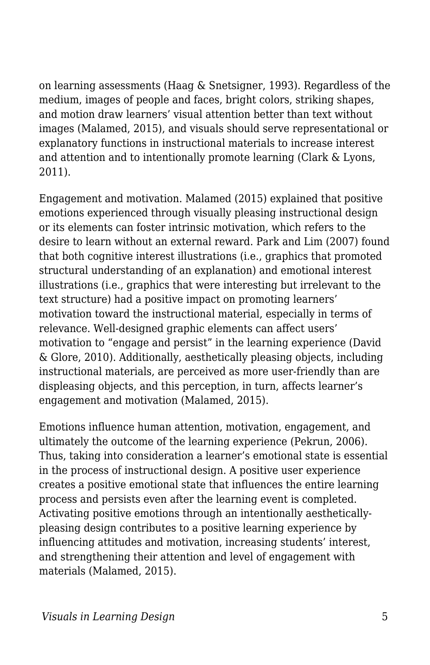on learning assessments (Haag & Snetsigner, 1993). Regardless of the medium, images of people and faces, bright colors, striking shapes, and motion draw learners' visual attention better than text without images (Malamed, 2015), and visuals should serve representational or explanatory functions in instructional materials to increase interest and attention and to intentionally promote learning (Clark & Lyons, 2011).

Engagement and motivation. Malamed (2015) explained that positive emotions experienced through visually pleasing instructional design or its elements can foster intrinsic motivation, which refers to the desire to learn without an external reward. Park and Lim (2007) found that both cognitive interest illustrations (i.e., graphics that promoted structural understanding of an explanation) and emotional interest illustrations (i.e., graphics that were interesting but irrelevant to the text structure) had a positive impact on promoting learners' motivation toward the instructional material, especially in terms of relevance. Well-designed graphic elements can affect users' motivation to "engage and persist" in the learning experience (David & Glore, 2010). Additionally, aesthetically pleasing objects, including instructional materials, are perceived as more user-friendly than are displeasing objects, and this perception, in turn, affects learner's engagement and motivation (Malamed, 2015).

Emotions influence human attention, motivation, engagement, and ultimately the outcome of the learning experience (Pekrun, 2006). Thus, taking into consideration a learner's emotional state is essential in the process of instructional design. A positive user experience creates a positive emotional state that influences the entire learning process and persists even after the learning event is completed. Activating positive emotions through an intentionally aestheticallypleasing design contributes to a positive learning experience by influencing attitudes and motivation, increasing students' interest, and strengthening their attention and level of engagement with materials (Malamed, 2015).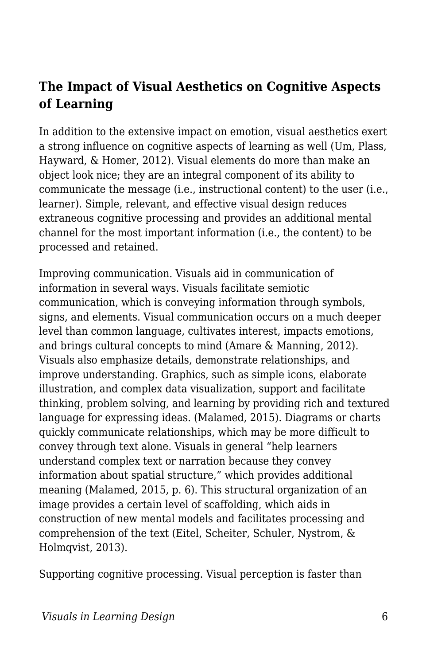#### **The Impact of Visual Aesthetics on Cognitive Aspects of Learning**

In addition to the extensive impact on emotion, visual aesthetics exert a strong influence on cognitive aspects of learning as well (Um, Plass, Hayward, & Homer, 2012). Visual elements do more than make an object look nice; they are an integral component of its ability to communicate the message (i.e., instructional content) to the user (i.e., learner). Simple, relevant, and effective visual design reduces extraneous cognitive processing and provides an additional mental channel for the most important information (i.e., the content) to be processed and retained.

Improving communication. Visuals aid in communication of information in several ways. Visuals facilitate semiotic communication, which is conveying information through symbols, signs, and elements. Visual communication occurs on a much deeper level than common language, cultivates interest, impacts emotions, and brings cultural concepts to mind (Amare & Manning, 2012). Visuals also emphasize details, demonstrate relationships, and improve understanding. Graphics, such as simple icons, elaborate illustration, and complex data visualization, support and facilitate thinking, problem solving, and learning by providing rich and textured language for expressing ideas. (Malamed, 2015). Diagrams or charts quickly communicate relationships, which may be more difficult to convey through text alone. Visuals in general "help learners understand complex text or narration because they convey information about spatial structure," which provides additional meaning (Malamed, 2015, p. 6). This structural organization of an image provides a certain level of scaffolding, which aids in construction of new mental models and facilitates processing and comprehension of the text (Eitel, Scheiter, Schuler, Nystrom, & Holmqvist, 2013).

Supporting cognitive processing. Visual perception is faster than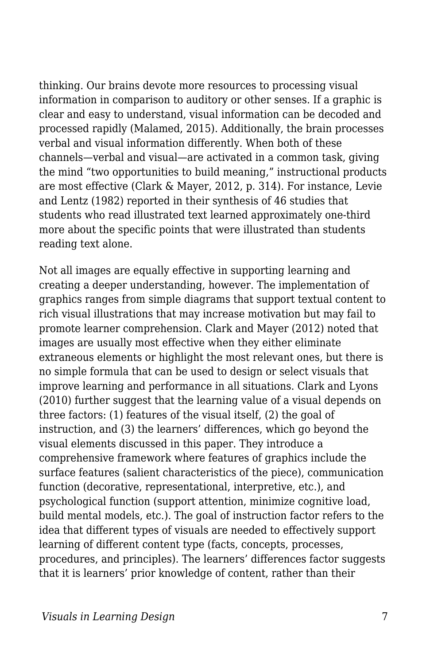thinking. Our brains devote more resources to processing visual information in comparison to auditory or other senses. If a graphic is clear and easy to understand, visual information can be decoded and processed rapidly (Malamed, 2015). Additionally, the brain processes verbal and visual information differently. When both of these channels—verbal and visual—are activated in a common task, giving the mind "two opportunities to build meaning," instructional products are most effective (Clark & Mayer, 2012, p. 314). For instance, Levie and Lentz (1982) reported in their synthesis of 46 studies that students who read illustrated text learned approximately one-third more about the specific points that were illustrated than students reading text alone.

Not all images are equally effective in supporting learning and creating a deeper understanding, however. The implementation of graphics ranges from simple diagrams that support textual content to rich visual illustrations that may increase motivation but may fail to promote learner comprehension. Clark and Mayer (2012) noted that images are usually most effective when they either eliminate extraneous elements or highlight the most relevant ones, but there is no simple formula that can be used to design or select visuals that improve learning and performance in all situations. Clark and Lyons (2010) further suggest that the learning value of a visual depends on three factors: (1) features of the visual itself, (2) the goal of instruction, and (3) the learners' differences, which go beyond the visual elements discussed in this paper. They introduce a comprehensive framework where features of graphics include the surface features (salient characteristics of the piece), communication function (decorative, representational, interpretive, etc.), and psychological function (support attention, minimize cognitive load, build mental models, etc.). The goal of instruction factor refers to the idea that different types of visuals are needed to effectively support learning of different content type (facts, concepts, processes, procedures, and principles). The learners' differences factor suggests that it is learners' prior knowledge of content, rather than their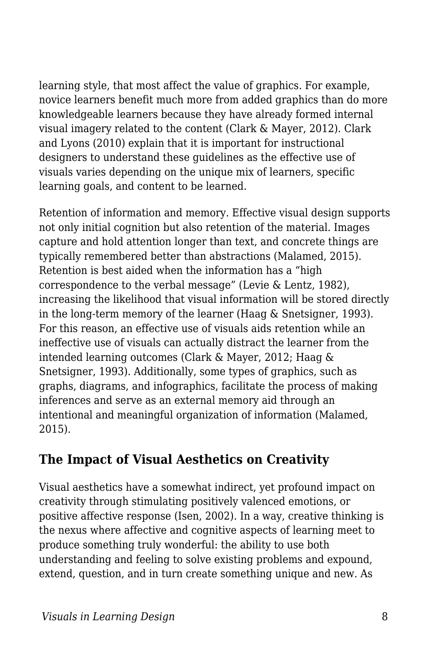learning style, that most affect the value of graphics. For example, novice learners benefit much more from added graphics than do more knowledgeable learners because they have already formed internal visual imagery related to the content (Clark & Mayer, 2012). Clark and Lyons (2010) explain that it is important for instructional designers to understand these guidelines as the effective use of visuals varies depending on the unique mix of learners, specific learning goals, and content to be learned.

Retention of information and memory. Effective visual design supports not only initial cognition but also retention of the material. Images capture and hold attention longer than text, and concrete things are typically remembered better than abstractions (Malamed, 2015). Retention is best aided when the information has a "high correspondence to the verbal message" (Levie & Lentz, 1982), increasing the likelihood that visual information will be stored directly in the long-term memory of the learner (Haag & Snetsigner, 1993). For this reason, an effective use of visuals aids retention while an ineffective use of visuals can actually distract the learner from the intended learning outcomes (Clark & Mayer, 2012; Haag & Snetsigner, 1993). Additionally, some types of graphics, such as graphs, diagrams, and infographics, facilitate the process of making inferences and serve as an external memory aid through an intentional and meaningful organization of information (Malamed, 2015).

### **The Impact of Visual Aesthetics on Creativity**

Visual aesthetics have a somewhat indirect, yet profound impact on creativity through stimulating positively valenced emotions, or positive affective response (Isen, 2002). In a way, creative thinking is the nexus where affective and cognitive aspects of learning meet to produce something truly wonderful: the ability to use both understanding and feeling to solve existing problems and expound, extend, question, and in turn create something unique and new. As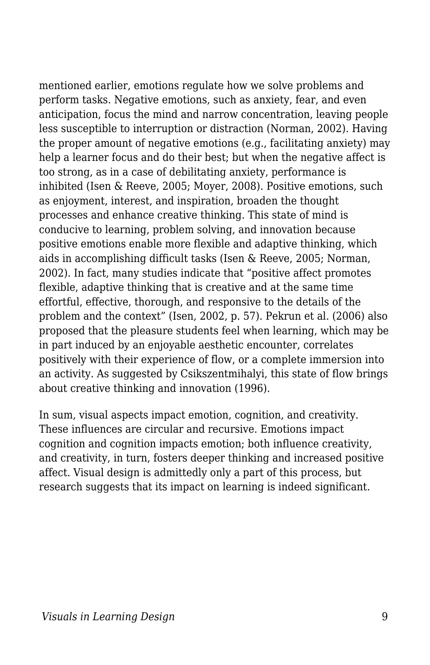mentioned earlier, emotions regulate how we solve problems and perform tasks. Negative emotions, such as anxiety, fear, and even anticipation, focus the mind and narrow concentration, leaving people less susceptible to interruption or distraction (Norman, 2002). Having the proper amount of negative emotions (e.g., facilitating anxiety) may help a learner focus and do their best; but when the negative affect is too strong, as in a case of debilitating anxiety, performance is inhibited (Isen & Reeve, 2005; Moyer, 2008). Positive emotions, such as enjoyment, interest, and inspiration, broaden the thought processes and enhance creative thinking. This state of mind is conducive to learning, problem solving, and innovation because positive emotions enable more flexible and adaptive thinking, which aids in accomplishing difficult tasks (Isen & Reeve, 2005; Norman, 2002). In fact, many studies indicate that "positive affect promotes flexible, adaptive thinking that is creative and at the same time effortful, effective, thorough, and responsive to the details of the problem and the context" (Isen, 2002, p. 57). Pekrun et al. (2006) also proposed that the pleasure students feel when learning, which may be in part induced by an enjoyable aesthetic encounter, correlates positively with their experience of flow, or a complete immersion into an activity. As suggested by Csikszentmihalyi, this state of flow brings about creative thinking and innovation (1996).

In sum, visual aspects impact emotion, cognition, and creativity. These influences are circular and recursive. Emotions impact cognition and cognition impacts emotion; both influence creativity, and creativity, in turn, fosters deeper thinking and increased positive affect. Visual design is admittedly only a part of this process, but research suggests that its impact on learning is indeed significant.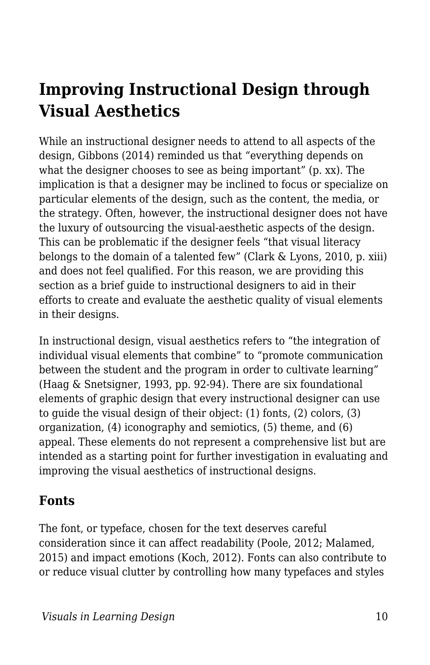# **Improving Instructional Design through Visual Aesthetics**

While an instructional designer needs to attend to all aspects of the design, Gibbons (2014) reminded us that "everything depends on what the designer chooses to see as being important" (p. xx). The implication is that a designer may be inclined to focus or specialize on particular elements of the design, such as the content, the media, or the strategy. Often, however, the instructional designer does not have the luxury of outsourcing the visual-aesthetic aspects of the design. This can be problematic if the designer feels "that visual literacy belongs to the domain of a talented few" (Clark & Lyons, 2010, p. xiii) and does not feel qualified. For this reason, we are providing this section as a brief guide to instructional designers to aid in their efforts to create and evaluate the aesthetic quality of visual elements in their designs.

In instructional design, visual aesthetics refers to "the integration of individual visual elements that combine" to "promote communication between the student and the program in order to cultivate learning" (Haag & Snetsigner, 1993, pp. 92-94). There are six foundational elements of graphic design that every instructional designer can use to guide the visual design of their object: (1) fonts, (2) colors, (3) organization, (4) iconography and semiotics, (5) theme, and (6) appeal. These elements do not represent a comprehensive list but are intended as a starting point for further investigation in evaluating and improving the visual aesthetics of instructional designs.

#### **Fonts**

The font, or typeface, chosen for the text deserves careful consideration since it can affect readability (Poole, 2012; Malamed, 2015) and impact emotions (Koch, 2012). Fonts can also contribute to or reduce visual clutter by controlling how many typefaces and styles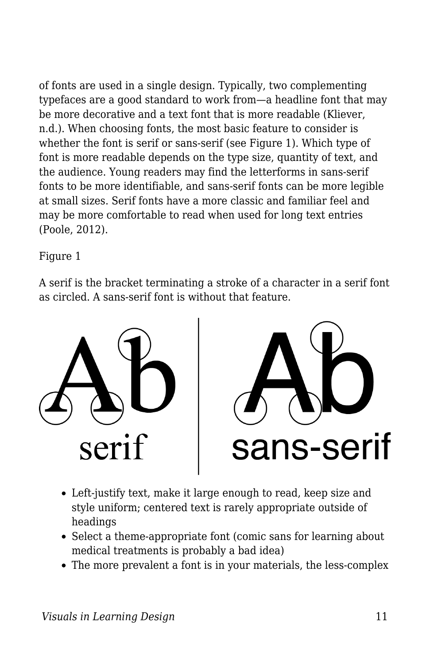of fonts are used in a single design. Typically, two complementing typefaces are a good standard to work from—a headline font that may be more decorative and a text font that is more readable (Kliever, n.d.). When choosing fonts, the most basic feature to consider is whether the font is serif or sans-serif (see Figure 1). Which type of font is more readable depends on the type size, quantity of text, and the audience. Young readers may find the letterforms in sans-serif fonts to be more identifiable, and sans-serif fonts can be more legible at small sizes. Serif fonts have a more classic and familiar feel and may be more comfortable to read when used for long text entries (Poole, 2012).

Figure 1

A serif is the bracket terminating a stroke of a character in a serif font as circled. A sans-serif font is without that feature.





- Left-justify text, make it large enough to read, keep size and style uniform; centered text is rarely appropriate outside of headings
- Select a theme-appropriate font (comic sans for learning about medical treatments is probably a bad idea)
- The more prevalent a font is in your materials, the less-complex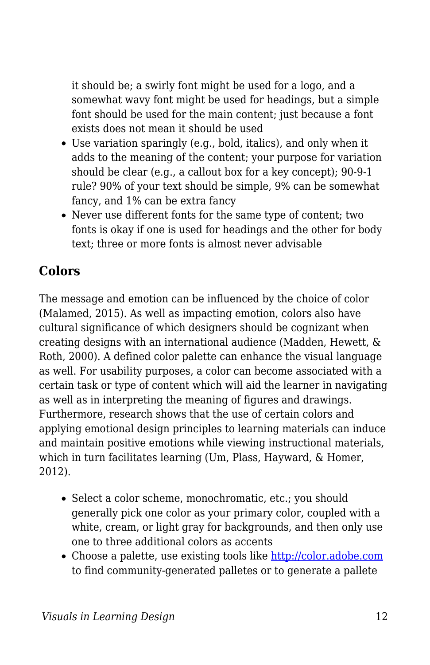it should be; a swirly font might be used for a logo, and a somewhat wavy font might be used for headings, but a simple font should be used for the main content; just because a font exists does not mean it should be used

- Use variation sparingly (e.g., bold, italics), and only when it adds to the meaning of the content; your purpose for variation should be clear (e.g., a callout box for a key concept); 90-9-1 rule? 90% of your text should be simple, 9% can be somewhat fancy, and 1% can be extra fancy
- Never use different fonts for the same type of content; two fonts is okay if one is used for headings and the other for body text; three or more fonts is almost never advisable

### **Colors**

The message and emotion can be influenced by the choice of color (Malamed, 2015). As well as impacting emotion, colors also have cultural significance of which designers should be cognizant when creating designs with an international audience (Madden, Hewett, & Roth, 2000). A defined color palette can enhance the visual language as well. For usability purposes, a color can become associated with a certain task or type of content which will aid the learner in navigating as well as in interpreting the meaning of figures and drawings. Furthermore, research shows that the use of certain colors and applying emotional design principles to learning materials can induce and maintain positive emotions while viewing instructional materials, which in turn facilitates learning (Um, Plass, Hayward, & Homer, 2012).

- Select a color scheme, monochromatic, etc.; you should generally pick one color as your primary color, coupled with a white, cream, or light gray for backgrounds, and then only use one to three additional colors as accents
- Choose a palette, use existing tools like <http://color.adobe.com> to find community-generated palletes or to generate a pallete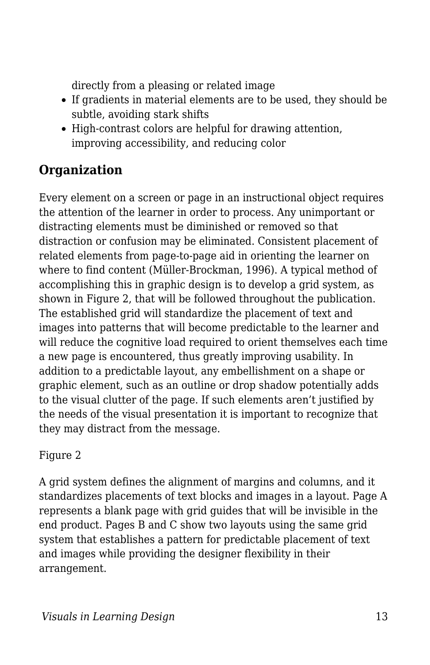directly from a pleasing or related image

- If gradients in material elements are to be used, they should be subtle, avoiding stark shifts
- High-contrast colors are helpful for drawing attention, improving accessibility, and reducing color

### **Organization**

Every element on a screen or page in an instructional object requires the attention of the learner in order to process. Any unimportant or distracting elements must be diminished or removed so that distraction or confusion may be eliminated. Consistent placement of related elements from page-to-page aid in orienting the learner on where to find content (Müller-Brockman, 1996). A typical method of accomplishing this in graphic design is to develop a grid system, as shown in Figure 2, that will be followed throughout the publication. The established grid will standardize the placement of text and images into patterns that will become predictable to the learner and will reduce the cognitive load required to orient themselves each time a new page is encountered, thus greatly improving usability. In addition to a predictable layout, any embellishment on a shape or graphic element, such as an outline or drop shadow potentially adds to the visual clutter of the page. If such elements aren't justified by the needs of the visual presentation it is important to recognize that they may distract from the message.

#### Figure 2

A grid system defines the alignment of margins and columns, and it standardizes placements of text blocks and images in a layout. Page A represents a blank page with grid guides that will be invisible in the end product. Pages B and C show two layouts using the same grid system that establishes a pattern for predictable placement of text and images while providing the designer flexibility in their arrangement.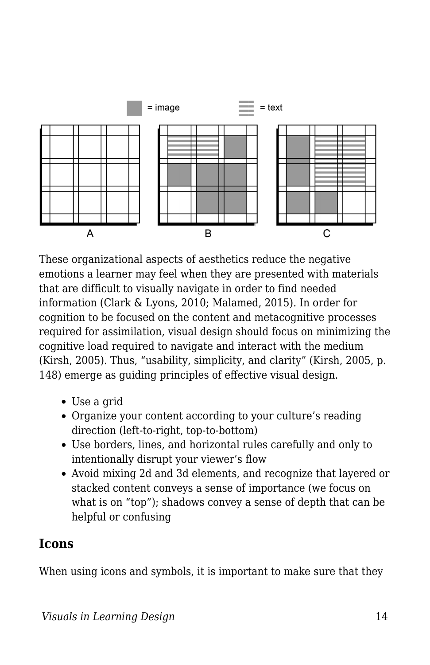

These organizational aspects of aesthetics reduce the negative emotions a learner may feel when they are presented with materials that are difficult to visually navigate in order to find needed information (Clark & Lyons, 2010; Malamed, 2015). In order for cognition to be focused on the content and metacognitive processes required for assimilation, visual design should focus on minimizing the cognitive load required to navigate and interact with the medium (Kirsh, 2005). Thus, "usability, simplicity, and clarity" (Kirsh, 2005, p. 148) emerge as guiding principles of effective visual design.

- Use a grid
- Organize your content according to your culture's reading direction (left-to-right, top-to-bottom)
- Use borders, lines, and horizontal rules carefully and only to intentionally disrupt your viewer's flow
- Avoid mixing 2d and 3d elements, and recognize that layered or stacked content conveys a sense of importance (we focus on what is on "top"); shadows convey a sense of depth that can be helpful or confusing

#### **Icons**

When using icons and symbols, it is important to make sure that they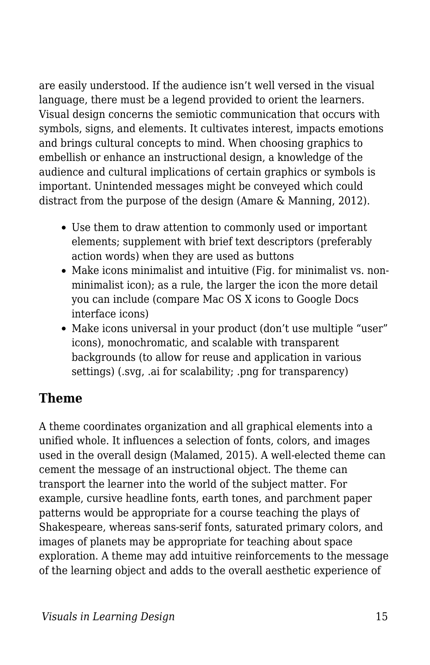are easily understood. If the audience isn't well versed in the visual language, there must be a legend provided to orient the learners. Visual design concerns the semiotic communication that occurs with symbols, signs, and elements. It cultivates interest, impacts emotions and brings cultural concepts to mind. When choosing graphics to embellish or enhance an instructional design, a knowledge of the audience and cultural implications of certain graphics or symbols is important. Unintended messages might be conveyed which could distract from the purpose of the design (Amare & Manning, 2012).

- Use them to draw attention to commonly used or important elements; supplement with brief text descriptors (preferably action words) when they are used as buttons
- Make icons minimalist and intuitive (Fig. for minimalist vs. nonminimalist icon); as a rule, the larger the icon the more detail you can include (compare Mac OS X icons to Google Docs interface icons)
- Make icons universal in your product (don't use multiple "user" icons), monochromatic, and scalable with transparent backgrounds (to allow for reuse and application in various settings) (.svg, .ai for scalability; .png for transparency)

#### **Theme**

A theme coordinates organization and all graphical elements into a unified whole. It influences a selection of fonts, colors, and images used in the overall design (Malamed, 2015). A well-elected theme can cement the message of an instructional object. The theme can transport the learner into the world of the subject matter. For example, cursive headline fonts, earth tones, and parchment paper patterns would be appropriate for a course teaching the plays of Shakespeare, whereas sans-serif fonts, saturated primary colors, and images of planets may be appropriate for teaching about space exploration. A theme may add intuitive reinforcements to the message of the learning object and adds to the overall aesthetic experience of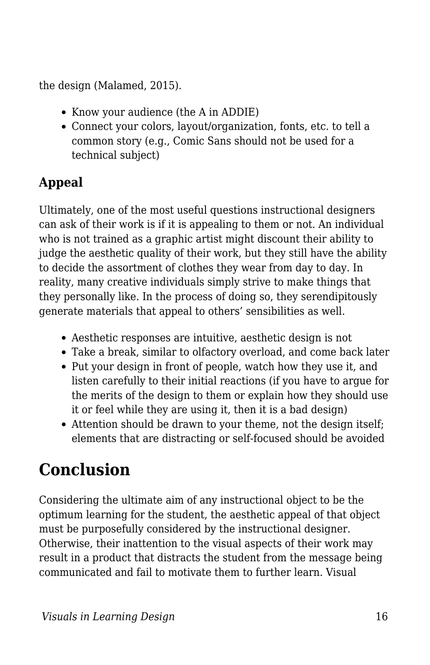the design (Malamed, 2015).

- Know your audience (the A in ADDIE)
- Connect your colors, layout/organization, fonts, etc. to tell a common story (e.g., Comic Sans should not be used for a technical subject)

# **Appeal**

Ultimately, one of the most useful questions instructional designers can ask of their work is if it is appealing to them or not. An individual who is not trained as a graphic artist might discount their ability to judge the aesthetic quality of their work, but they still have the ability to decide the assortment of clothes they wear from day to day. In reality, many creative individuals simply strive to make things that they personally like. In the process of doing so, they serendipitously generate materials that appeal to others' sensibilities as well.

- Aesthetic responses are intuitive, aesthetic design is not
- Take a break, similar to olfactory overload, and come back later
- Put your design in front of people, watch how they use it, and listen carefully to their initial reactions (if you have to argue for the merits of the design to them or explain how they should use it or feel while they are using it, then it is a bad design)
- Attention should be drawn to your theme, not the design itself; elements that are distracting or self-focused should be avoided

# **Conclusion**

Considering the ultimate aim of any instructional object to be the optimum learning for the student, the aesthetic appeal of that object must be purposefully considered by the instructional designer. Otherwise, their inattention to the visual aspects of their work may result in a product that distracts the student from the message being communicated and fail to motivate them to further learn. Visual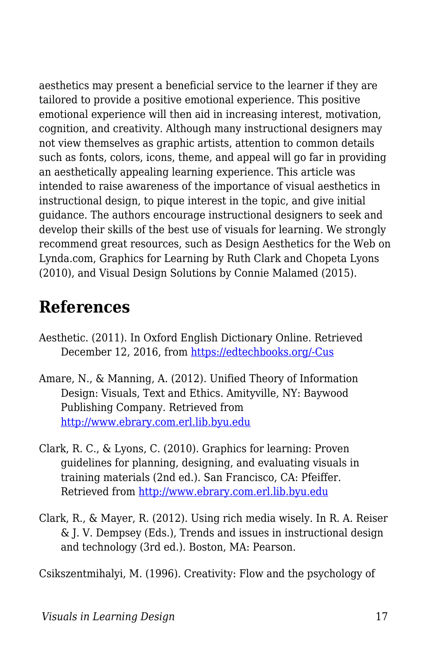aesthetics may present a beneficial service to the learner if they are tailored to provide a positive emotional experience. This positive emotional experience will then aid in increasing interest, motivation, cognition, and creativity. Although many instructional designers may not view themselves as graphic artists, attention to common details such as fonts, colors, icons, theme, and appeal will go far in providing an aesthetically appealing learning experience. This article was intended to raise awareness of the importance of visual aesthetics in instructional design, to pique interest in the topic, and give initial guidance. The authors encourage instructional designers to seek and develop their skills of the best use of visuals for learning. We strongly recommend great resources, such as Design Aesthetics for the Web on Lynda.com, Graphics for Learning by Ruth Clark and Chopeta Lyons (2010), and Visual Design Solutions by Connie Malamed (2015).

# **References**

- Aesthetic. (2011). In Oxford English Dictionary Online. Retrieved December 12, 2016, from [https://edtechbooks.org/-Cus](http://www.oed.com.erl.lib.byu.edu/view/Entry/3237?redirectedFrom=aesthetic#eid)
- Amare, N., & Manning, A. (2012). Unified Theory of Information Design: Visuals, Text and Ethics. Amityville, NY: Baywood Publishing Company. Retrieved from <http://www.ebrary.com.erl.lib.byu.edu>
- Clark, R. C., & Lyons, C. (2010). Graphics for learning: Proven guidelines for planning, designing, and evaluating visuals in training materials (2nd ed.). San Francisco, CA: Pfeiffer. Retrieved from <http://www.ebrary.com.erl.lib.byu.edu>
- Clark, R., & Mayer, R. (2012). Using rich media wisely. In R. A. Reiser & J. V. Dempsey (Eds.), Trends and issues in instructional design and technology (3rd ed.). Boston, MA: Pearson.

Csikszentmihalyi, M. (1996). Creativity: Flow and the psychology of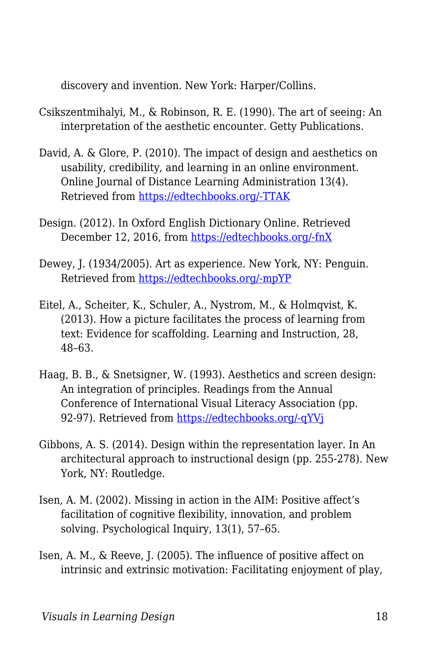discovery and invention. New York: Harper/Collins.

- Csikszentmihalyi, M., & Robinson, R. E. (1990). The art of seeing: An interpretation of the aesthetic encounter. Getty Publications.
- David, A. & Glore, P. (2010). The impact of design and aesthetics on usability, credibility, and learning in an online environment. Online Journal of Distance Learning Administration 13(4). Retrieved from [https://edtechbooks.org/-TTAK](http://www.westga.edu/~distance/ojdla/winter134/david_glore134.html)
- Design. (2012). In Oxford English Dictionary Online. Retrieved December 12, 2016, from [https://edtechbooks.org/-fnX](http://www.oed.com.erl.lib.byu.edu/view/Entry/50840?rskey=6ljDD9&result=1&isAdvanced=false#eid)
- Dewey, J. (1934/2005). Art as experience. New York, NY: Penguin. Retrieved from [https://edtechbooks.org/-mpYP](https://books.google.com/books?id=aAbqAGo5MwwC&pg=PP3&source=gbs_selected_pages&cad=3#v=onepage&q&f=false)
- Eitel, A., Scheiter, K., Schuler, A., Nystrom, M., & Holmqvist, K. (2013). How a picture facilitates the process of learning from text: Evidence for scaffolding. Learning and Instruction, 28, 48–63.
- Haag, B. B., & Snetsigner, W. (1993). Aesthetics and screen design: An integration of principles. Readings from the Annual Conference of International Visual Literacy Association (pp. 92-97). Retrieved from [https://edtechbooks.org/-qYVj](http://files.eric.ed.gov/fulltext/ED370558.pdf)
- Gibbons, A. S. (2014). Design within the representation layer. In An architectural approach to instructional design (pp. 255-278). New York, NY: Routledge.
- Isen, A. M. (2002). Missing in action in the AIM: Positive affect's facilitation of cognitive flexibility, innovation, and problem solving. Psychological Inquiry, 13(1), 57–65.
- Isen, A. M., & Reeve, J. (2005). The influence of positive affect on intrinsic and extrinsic motivation: Facilitating enjoyment of play,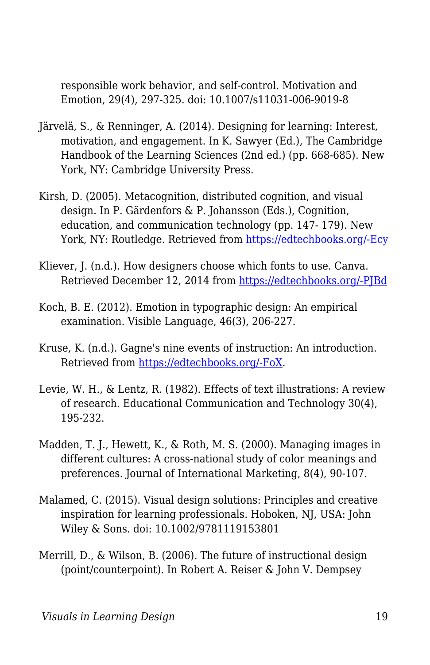responsible work behavior, and self-control. Motivation and Emotion, 29(4), 297-325. doi: 10.1007/s11031-006-9019-8

- Järvelä, S., & Renninger, A. (2014). Designing for learning: Interest, motivation, and engagement. In K. Sawyer (Ed.), The Cambridge Handbook of the Learning Sciences (2nd ed.) (pp. 668-685). New York, NY: Cambridge University Press.
- Kirsh, D. (2005). Metacognition, distributed cognition, and visual design. In P. Gärdenfors & P. Johansson (Eds.), Cognition, education, and communication technology (pp. 147- 179). New York, NY: Routledge. Retrieved from [https://edtechbooks.org/-Ecy](https://books.google.com/books?id=Za2PAgAAQBAJ&printsec=frontcover&source=gbs_ge_summary_r&cad=0#v=onepage&q&f=false)
- Kliever, J. (n.d.). How designers choose which fonts to use. Canva. Retrieved December 12, 2014 from [https://edtechbooks.org/-PJBd](https://designschool.canva.com/font-design/)
- Koch, B. E. (2012). Emotion in typographic design: An empirical examination. Visible Language, 46(3), 206-227.
- Kruse, K. (n.d.). Gagne's nine events of instruction: An introduction. Retrieved from [https://edtechbooks.org/-FoX](http://www.transformativedesigns.com/gagnes.html).
- Levie, W. H., & Lentz, R. (1982). Effects of text illustrations: A review of research. Educational Communication and Technology 30(4), 195-232.
- Madden, T. J., Hewett, K., & Roth, M. S. (2000). Managing images in different cultures: A cross-national study of color meanings and preferences. Journal of International Marketing, 8(4), 90-107.
- Malamed, C. (2015). Visual design solutions: Principles and creative inspiration for learning professionals. Hoboken, NJ, USA: John Wiley & Sons. doi: 10.1002/9781119153801
- Merrill, D., & Wilson, B. (2006). The future of instructional design (point/counterpoint). In Robert A. Reiser & John V. Dempsey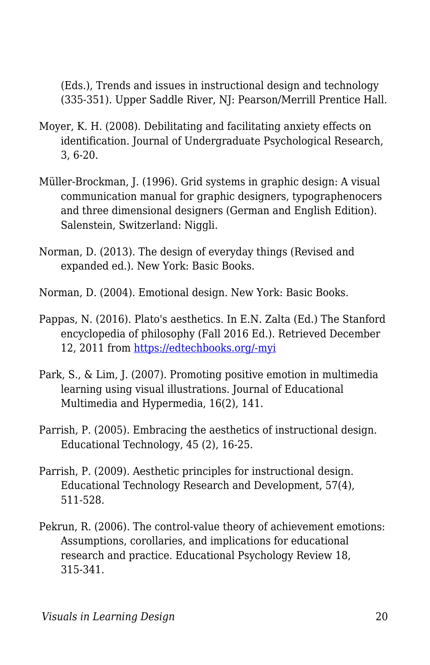(Eds.), Trends and issues in instructional design and technology (335-351). Upper Saddle River, NJ: Pearson/Merrill Prentice Hall.

- Moyer, K. H. (2008). Debilitating and facilitating anxiety effects on identification. Journal of Undergraduate Psychological Research, 3, 6-20.
- Müller-Brockman, J. (1996). Grid systems in graphic design: A visual communication manual for graphic designers, typographenocers and three dimensional designers (German and English Edition). Salenstein, Switzerland: Niggli.
- Norman, D. (2013). The design of everyday things (Revised and expanded ed.). New York: Basic Books.
- Norman, D. (2004). Emotional design. New York: Basic Books.
- Pappas, N. (2016). Plato's aesthetics. In E.N. Zalta (Ed.) The Stanford encyclopedia of philosophy (Fall 2016 Ed.). Retrieved December 12, 2011 from [https://edtechbooks.org/-myi](https://plato.stanford.edu/archives/fall2016/entries/plato-aesthetics/)
- Park, S., & Lim, J. (2007). Promoting positive emotion in multimedia learning using visual illustrations. Journal of Educational Multimedia and Hypermedia, 16(2), 141.
- Parrish, P. (2005). Embracing the aesthetics of instructional design. Educational Technology, 45 (2), 16-25.
- Parrish, P. (2009). Aesthetic principles for instructional design. Educational Technology Research and Development, 57(4), 511-528.
- Pekrun, R. (2006). The control-value theory of achievement emotions: Assumptions, corollaries, and implications for educational research and practice. Educational Psychology Review 18, 315-341.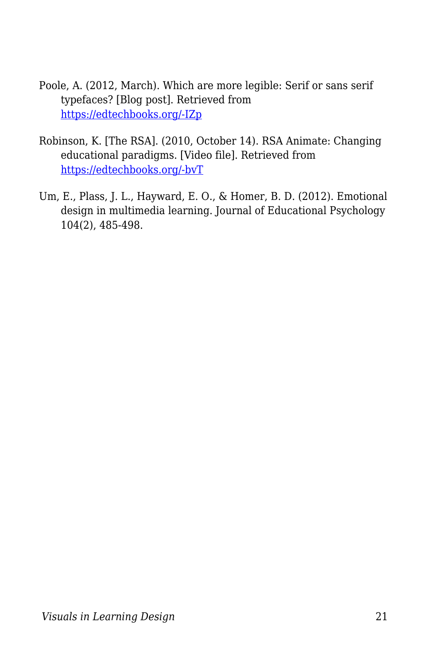- Poole, A. (2012, March). Which are more legible: Serif or sans serif typefaces? [Blog post]. Retrieved from [https://edtechbooks.org/-IZp](http://alexpoole.info/blog/which-are-more-legible-serif-or-sans-serif-typefaces/)
- Robinson, K. [The RSA]. (2010, October 14). RSA Animate: Changing educational paradigms. [Video file]. Retrieved from [https://edtechbooks.org/-bvT](https://www.youtube.com/watch?v=zDZFcDGpL4U)
- Um, E., Plass, J. L., Hayward, E. O., & Homer, B. D. (2012). Emotional design in multimedia learning. Journal of Educational Psychology 104(2), 485-498.